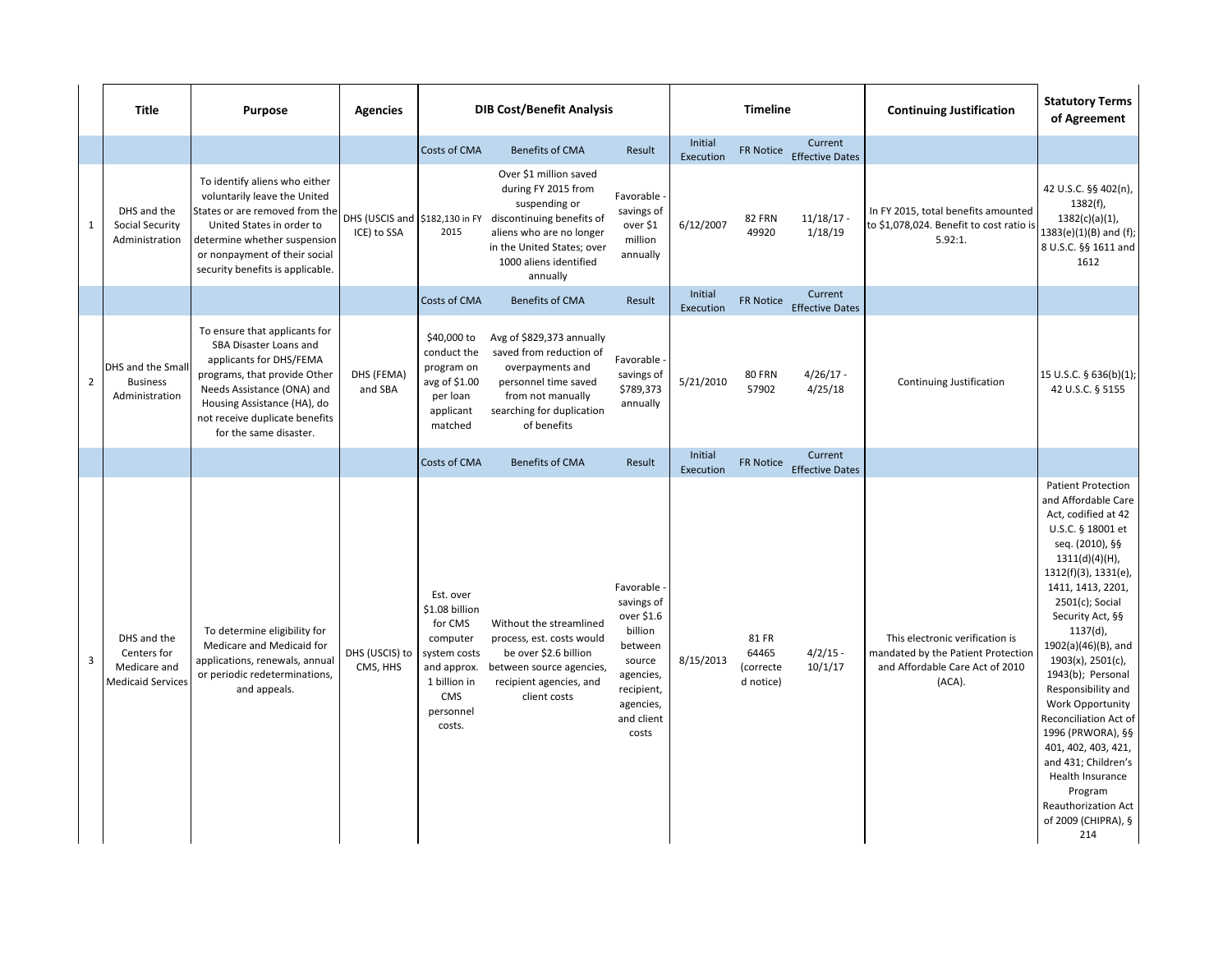|                | <b>Title</b>                                                           | <b>Purpose</b>                                                                                                                                                                                                                                     | <b>Agencies</b>                                 | <b>DIB Cost/Benefit Analysis</b>                                                                                                       |                                                                                                                                                                                             |                                                                                                                                        | <b>Timeline</b>      |                                          |                                   | <b>Continuing Justification</b>                                                                                    | <b>Statutory Terms</b><br>of Agreement                                                                                                                                                                                                                                                                                                                                                                                                                                                                                                                |
|----------------|------------------------------------------------------------------------|----------------------------------------------------------------------------------------------------------------------------------------------------------------------------------------------------------------------------------------------------|-------------------------------------------------|----------------------------------------------------------------------------------------------------------------------------------------|---------------------------------------------------------------------------------------------------------------------------------------------------------------------------------------------|----------------------------------------------------------------------------------------------------------------------------------------|----------------------|------------------------------------------|-----------------------------------|--------------------------------------------------------------------------------------------------------------------|-------------------------------------------------------------------------------------------------------------------------------------------------------------------------------------------------------------------------------------------------------------------------------------------------------------------------------------------------------------------------------------------------------------------------------------------------------------------------------------------------------------------------------------------------------|
|                |                                                                        |                                                                                                                                                                                                                                                    |                                                 | Costs of CMA                                                                                                                           | <b>Benefits of CMA</b>                                                                                                                                                                      | Result                                                                                                                                 | Initial<br>Execution | <b>FR Notice</b>                         | Current<br><b>Effective Dates</b> |                                                                                                                    |                                                                                                                                                                                                                                                                                                                                                                                                                                                                                                                                                       |
| $\mathbf{1}$   | DHS and the<br><b>Social Security</b><br>Administration                | To identify aliens who either<br>voluntarily leave the United<br>States or are removed from the<br>United States in order to<br>determine whether suspension<br>or nonpayment of their social<br>security benefits is applicable.                  | DHS (USCIS and   \$182,130 in FY<br>ICE) to SSA | 2015                                                                                                                                   | Over \$1 million saved<br>during FY 2015 from<br>suspending or<br>discontinuing benefits of<br>aliens who are no longer<br>in the United States; over<br>1000 aliens identified<br>annually | Favorable -<br>savings of<br>over \$1<br>million<br>annually                                                                           | 6/12/2007            | <b>82 FRN</b><br>49920                   | $11/18/17$ -<br>1/18/19           | In FY 2015, total benefits amounted<br>to \$1,078,024. Benefit to cost ratio is<br>5.92:1.                         | 42 U.S.C. §§ 402(n),<br>$1382(f)$ ,<br>$1382(c)(a)(1)$ ,<br>$1383(e)(1)(B)$ and (f);<br>8 U.S.C. §§ 1611 and<br>1612                                                                                                                                                                                                                                                                                                                                                                                                                                  |
|                |                                                                        |                                                                                                                                                                                                                                                    |                                                 | Costs of CMA                                                                                                                           | <b>Benefits of CMA</b>                                                                                                                                                                      | Result                                                                                                                                 | Initial<br>Execution | FR Notice                                | Current<br><b>Effective Dates</b> |                                                                                                                    |                                                                                                                                                                                                                                                                                                                                                                                                                                                                                                                                                       |
| $\overline{2}$ | DHS and the Small<br><b>Business</b><br>Administration                 | To ensure that applicants for<br><b>SBA Disaster Loans and</b><br>applicants for DHS/FEMA<br>programs, that provide Other<br>Needs Assistance (ONA) and<br>Housing Assistance (HA), do<br>not receive duplicate benefits<br>for the same disaster. | DHS (FEMA)<br>and SBA                           | \$40,000 to<br>conduct the<br>program on<br>avg of \$1.00<br>per loan<br>applicant<br>matched                                          | Avg of \$829,373 annually<br>saved from reduction of<br>overpayments and<br>personnel time saved<br>from not manually<br>searching for duplication<br>of benefits                           | Favorable -<br>savings of<br>\$789,373<br>annually                                                                                     | 5/21/2010            | <b>80 FRN</b><br>57902                   | $4/26/17 -$<br>4/25/18            | Continuing Justification                                                                                           | 15 U.S.C. § 636(b)(1);<br>42 U.S.C. § 5155                                                                                                                                                                                                                                                                                                                                                                                                                                                                                                            |
|                |                                                                        |                                                                                                                                                                                                                                                    |                                                 | Costs of CMA                                                                                                                           | <b>Benefits of CMA</b>                                                                                                                                                                      | Result                                                                                                                                 | Initial<br>Execution | <b>FR Notice</b>                         | Current<br><b>Effective Dates</b> |                                                                                                                    |                                                                                                                                                                                                                                                                                                                                                                                                                                                                                                                                                       |
| $\mathbf{3}$   | DHS and the<br>Centers for<br>Medicare and<br><b>Medicaid Services</b> | To determine eligibility for<br>Medicare and Medicaid for<br>applications, renewals, annual<br>or periodic redeterminations,<br>and appeals.                                                                                                       | DHS (USCIS) to<br>CMS, HHS                      | Est. over<br>\$1.08 billion<br>for CMS<br>computer<br>system costs<br>and approx.<br>1 billion in<br><b>CMS</b><br>personnel<br>costs. | Without the streamlined<br>process, est. costs would<br>be over \$2.6 billion<br>between source agencies,<br>recipient agencies, and<br>client costs                                        | Favorable -<br>savings of<br>over \$1.6<br>billion<br>between<br>source<br>agencies,<br>recipient,<br>agencies,<br>and client<br>costs | 8/15/2013            | 81 FR<br>64465<br>(correcte<br>d notice) | $4/2/15 -$<br>10/1/17             | This electronic verification is<br>mandated by the Patient Protection<br>and Affordable Care Act of 2010<br>(ACA). | <b>Patient Protection</b><br>and Affordable Care<br>Act, codified at 42<br>U.S.C. § 18001 et<br>seq. (2010), §§<br>$1311(d)(4)(H)$ ,<br>$1312(f)(3)$ , $1331(e)$ ,<br>1411, 1413, 2201,<br>$2501(c)$ ; Social<br>Security Act, §§<br>$1137(d)$ ,<br>1902(a)(46)(B), and<br>$1903(x)$ , 2501(c),<br>1943(b); Personal<br>Responsibility and<br><b>Work Opportunity</b><br>Reconciliation Act of<br>1996 (PRWORA), §§<br>401, 402, 403, 421,<br>and 431; Children's<br>Health Insurance<br>Program<br>Reauthorization Act<br>of 2009 (CHIPRA), §<br>214 |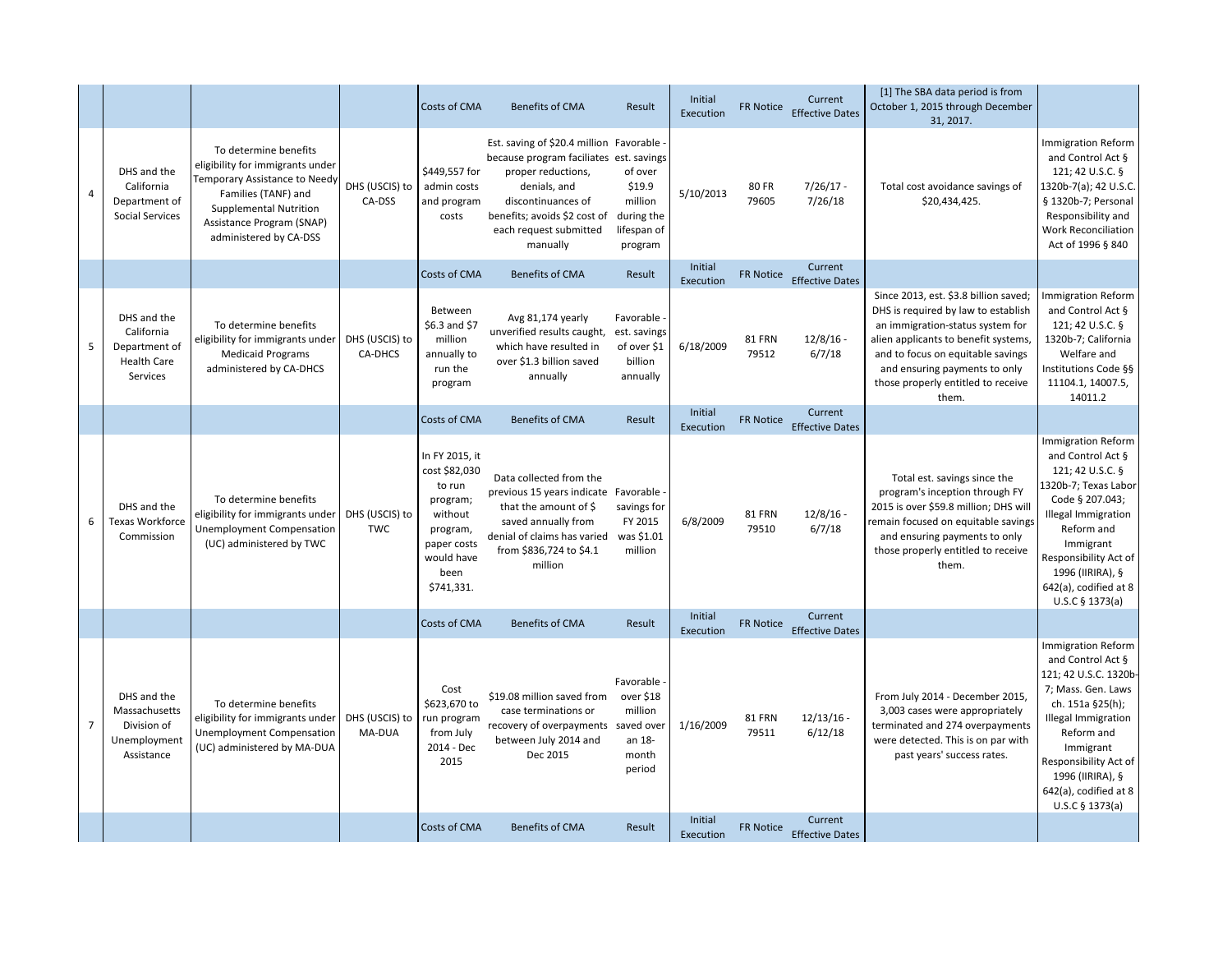|                |                                                                              |                                                                                                                                                                                                           |                              | <b>Costs of CMA</b>                                                                                                             | <b>Benefits of CMA</b>                                                                                                                                                                                                 | Result                                                               | Initial<br>Execution | <b>FR Notice</b>       | Current<br><b>Effective Dates</b>        | [1] The SBA data period is from<br>October 1, 2015 through December<br>31, 2017.                                                                                                                                                                                              |                                                                                                                                                                                                                                                                     |
|----------------|------------------------------------------------------------------------------|-----------------------------------------------------------------------------------------------------------------------------------------------------------------------------------------------------------|------------------------------|---------------------------------------------------------------------------------------------------------------------------------|------------------------------------------------------------------------------------------------------------------------------------------------------------------------------------------------------------------------|----------------------------------------------------------------------|----------------------|------------------------|------------------------------------------|-------------------------------------------------------------------------------------------------------------------------------------------------------------------------------------------------------------------------------------------------------------------------------|---------------------------------------------------------------------------------------------------------------------------------------------------------------------------------------------------------------------------------------------------------------------|
| $\overline{4}$ | DHS and the<br>California<br>Department of<br><b>Social Services</b>         | To determine benefits<br>eligibility for immigrants under<br>Temporary Assistance to Needy<br>Families (TANF) and<br><b>Supplemental Nutrition</b><br>Assistance Program (SNAP)<br>administered by CA-DSS | DHS (USCIS) to<br>CA-DSS     | \$449,557 for<br>admin costs<br>and program<br>costs                                                                            | Est. saving of \$20.4 million Favorable -<br>because program faciliates est. savings<br>proper reductions,<br>denials, and<br>discontinuances of<br>benefits; avoids \$2 cost of<br>each request submitted<br>manually | of over<br>\$19.9<br>million<br>during the<br>lifespan of<br>program | 5/10/2013            | <b>80 FR</b><br>79605  | $7/26/17 -$<br>7/26/18                   | Total cost avoidance savings of<br>\$20,434,425.                                                                                                                                                                                                                              | Immigration Reform<br>and Control Act §<br>121; 42 U.S.C. §<br>1320b-7(a); 42 U.S.C.<br>§ 1320b-7; Personal<br>Responsibility and<br><b>Work Reconciliation</b><br>Act of 1996 § 840                                                                                |
|                |                                                                              |                                                                                                                                                                                                           |                              | <b>Costs of CMA</b>                                                                                                             | <b>Benefits of CMA</b>                                                                                                                                                                                                 | Result                                                               | Initial<br>Execution | <b>FR Notice</b>       | Current<br><b>Effective Dates</b>        |                                                                                                                                                                                                                                                                               |                                                                                                                                                                                                                                                                     |
|                | DHS and the<br>California<br>Department of<br><b>Health Care</b><br>Services | To determine benefits<br>eligibility for immigrants under<br><b>Medicaid Programs</b><br>administered by CA-DHCS                                                                                          | DHS (USCIS) to<br>CA-DHCS    | Between<br>$$6.3$ and $$7$<br>million<br>annually to<br>run the<br>program                                                      | Avg 81,174 yearly<br>unverified results caught,<br>which have resulted in<br>over \$1.3 billion saved<br>annually                                                                                                      | Favorable -<br>est. savings<br>of over \$1<br>billion<br>annually    | 6/18/2009            | <b>81 FRN</b><br>79512 | $12/8/16$ -<br>6/7/18                    | Since 2013, est. \$3.8 billion saved;<br>DHS is required by law to establish<br>an immigration-status system for<br>alien applicants to benefit systems,<br>and to focus on equitable savings<br>and ensuring payments to only<br>those properly entitled to receive<br>them. | <b>Immigration Reform</b><br>and Control Act §<br>121; 42 U.S.C. §<br>1320b-7; California<br>Welfare and<br>Institutions Code §§<br>11104.1, 14007.5,<br>14011.2                                                                                                    |
|                |                                                                              |                                                                                                                                                                                                           |                              | <b>Costs of CMA</b>                                                                                                             | <b>Benefits of CMA</b>                                                                                                                                                                                                 | Result                                                               | Initial<br>Execution | <b>FR Notice</b>       | Current<br><b>Effective Dates</b>        |                                                                                                                                                                                                                                                                               |                                                                                                                                                                                                                                                                     |
| 6              | DHS and the<br><b>Texas Workforce</b><br>Commission                          | To determine benefits<br>eligibility for immigrants under<br><b>Unemployment Compensation</b><br>(UC) administered by TWC                                                                                 | DHS (USCIS) to<br><b>TWC</b> | In FY 2015, it<br>cost \$82,030<br>to run<br>program;<br>without<br>program,<br>paper costs<br>would have<br>been<br>\$741,331. | Data collected from the<br>previous 15 years indicate Favorable -<br>that the amount of $\frac{1}{2}$<br>saved annually from<br>denial of claims has varied<br>from \$836,724 to \$4.1<br>million                      | savings for<br>FY 2015<br>was \$1.01<br>million                      | 6/8/2009             | <b>81 FRN</b><br>79510 | $12/8/16$ -<br>6/7/18                    | Total est. savings since the<br>program's inception through FY<br>2015 is over \$59.8 million; DHS will<br>remain focused on equitable savings<br>and ensuring payments to only<br>those properly entitled to receive<br>them.                                                | <b>Immigration Reform</b><br>and Control Act §<br>121; 42 U.S.C. §<br>1320b-7; Texas Labor<br>Code § 207.043;<br><b>Illegal Immigration</b><br>Reform and<br>Immigrant<br>Responsibility Act of<br>1996 (IIRIRA), §<br>642(a), codified at 8<br>U.S.C § 1373(a)     |
|                |                                                                              |                                                                                                                                                                                                           |                              | <b>Costs of CMA</b>                                                                                                             | <b>Benefits of CMA</b>                                                                                                                                                                                                 | Result                                                               | Initial<br>Execution | FR Notice              | <b>Current</b><br><b>Effective Dates</b> |                                                                                                                                                                                                                                                                               |                                                                                                                                                                                                                                                                     |
| $\overline{7}$ | DHS and the<br>Massachusetts<br>Division of<br>Unemployment<br>Assistance    | To determine benefits<br>eligibility for immigrants under<br><b>Unemployment Compensation</b><br>(UC) administered by MA-DUA                                                                              | DHS (USCIS) to<br>MA-DUA     | Cost<br>\$623,670 to<br>run program<br>from July<br>2014 - Dec<br>2015                                                          | \$19.08 million saved from<br>case terminations or<br>recovery of overpayments saved over<br>between July 2014 and<br>Dec 2015                                                                                         | Favorable -<br>over \$18<br>million<br>an 18-<br>month<br>period     | 1/16/2009            | <b>81 FRN</b><br>79511 | $12/13/16$ -<br>6/12/18                  | From July 2014 - December 2015,<br>3,003 cases were appropriately<br>terminated and 274 overpayments<br>were detected. This is on par with<br>past years' success rates.                                                                                                      | <b>Immigration Reform</b><br>and Control Act §<br>121; 42 U.S.C. 1320b-<br>7; Mass. Gen. Laws<br>ch. 151a §25(h);<br><b>Illegal Immigration</b><br>Reform and<br>Immigrant<br>Responsibility Act of<br>1996 (IIRIRA), §<br>642(a), codified at 8<br>U.S.C § 1373(a) |
|                |                                                                              |                                                                                                                                                                                                           |                              | <b>Costs of CMA</b>                                                                                                             | <b>Benefits of CMA</b>                                                                                                                                                                                                 | Result                                                               | Initial<br>Execution | <b>FR Notice</b>       | Current<br><b>Effective Dates</b>        |                                                                                                                                                                                                                                                                               |                                                                                                                                                                                                                                                                     |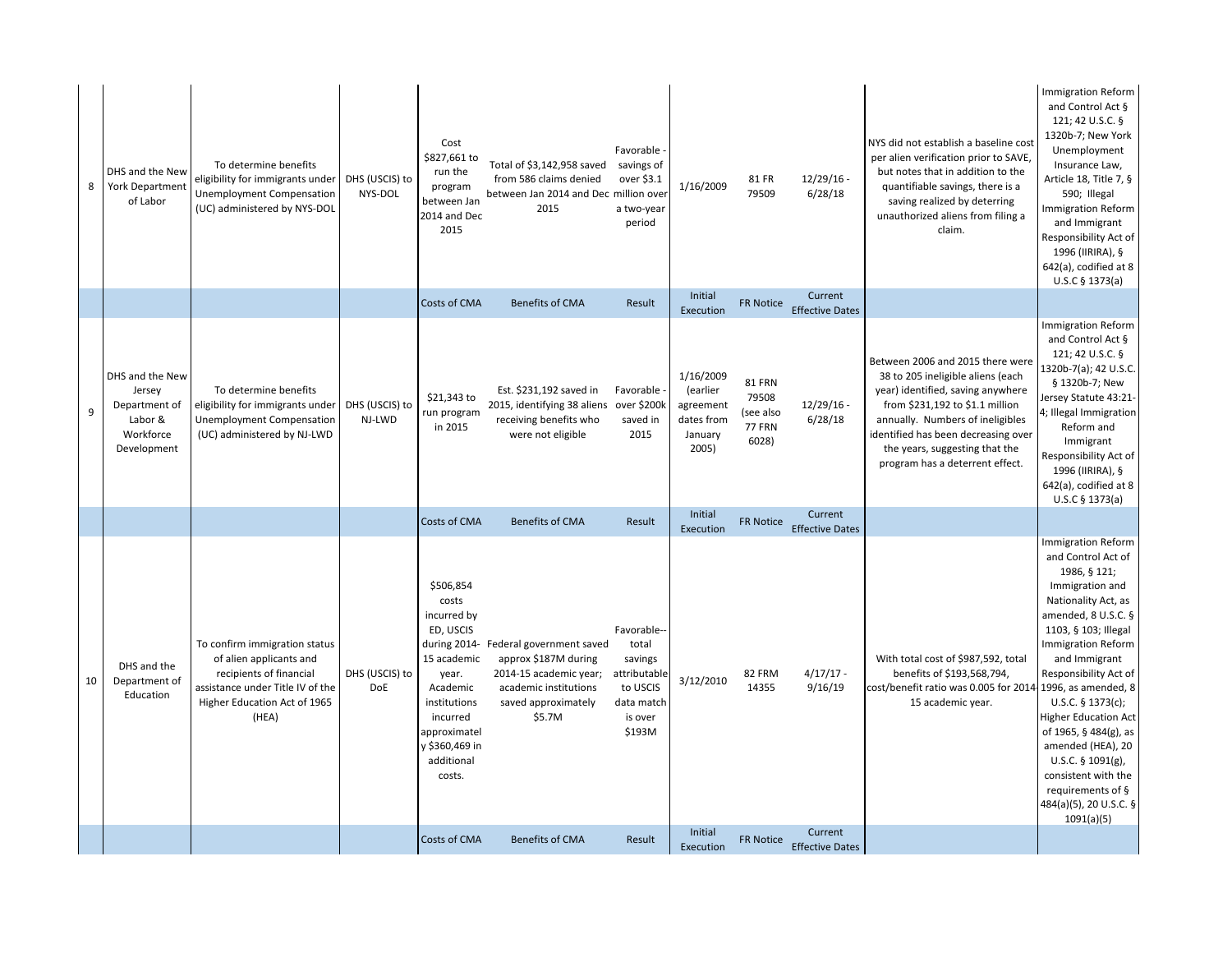| 8  | DHS and the New<br><b>York Department</b><br>of Labor                             | To determine benefits<br>eligibility for immigrants under<br><b>Unemployment Compensation</b><br>(UC) administered by NYS-DOL                                    | DHS (USCIS) to<br>NYS-DOL    | Cost<br>\$827,661 to<br>run the<br>program<br>between Jan<br>2014 and Dec<br>2015                                                                                        | Total of \$3,142,958 saved<br>from 586 claims denied<br>between Jan 2014 and Dec million over<br>2015                                             | Favorable -<br>savings of<br>over \$3.1<br>a two-year<br>period                                | 1/16/2009                                                            | 81 FR<br>79509                                                | $12/29/16$ -<br>6/28/18           | NYS did not establish a baseline cost<br>per alien verification prior to SAVE,<br>but notes that in addition to the<br>quantifiable savings, there is a<br>saving realized by deterring<br>unauthorized aliens from filing a<br>claim.                                                        | <b>Immigration Reform</b><br>and Control Act §<br>121; 42 U.S.C. §<br>1320b-7; New York<br>Unemployment<br>Insurance Law,<br>Article 18, Title 7, §<br>590; Illegal<br><b>Immigration Reform</b><br>and Immigrant<br>Responsibility Act of<br>1996 (IIRIRA), §<br>642(a), codified at 8<br>U.S.C § 1373(a)                                                                                                                                        |
|----|-----------------------------------------------------------------------------------|------------------------------------------------------------------------------------------------------------------------------------------------------------------|------------------------------|--------------------------------------------------------------------------------------------------------------------------------------------------------------------------|---------------------------------------------------------------------------------------------------------------------------------------------------|------------------------------------------------------------------------------------------------|----------------------------------------------------------------------|---------------------------------------------------------------|-----------------------------------|-----------------------------------------------------------------------------------------------------------------------------------------------------------------------------------------------------------------------------------------------------------------------------------------------|---------------------------------------------------------------------------------------------------------------------------------------------------------------------------------------------------------------------------------------------------------------------------------------------------------------------------------------------------------------------------------------------------------------------------------------------------|
|    |                                                                                   |                                                                                                                                                                  |                              | Costs of CMA                                                                                                                                                             | <b>Benefits of CMA</b>                                                                                                                            | Result                                                                                         | Initial<br>Execution                                                 | FR Notice                                                     | Current<br><b>Effective Dates</b> |                                                                                                                                                                                                                                                                                               |                                                                                                                                                                                                                                                                                                                                                                                                                                                   |
| 9  | DHS and the New<br>Jersey<br>Department of<br>Labor &<br>Workforce<br>Development | To determine benefits<br>eligibility for immigrants under<br><b>Unemployment Compensation</b><br>(UC) administered by NJ-LWD                                     | DHS (USCIS) to<br>NJ-LWD     | $$21,343$ to<br>run program<br>in 2015                                                                                                                                   | Est. \$231,192 saved in<br>2015, identifying 38 aliens<br>receiving benefits who<br>were not eligible                                             | Favorable -<br>over \$200k<br>saved in<br>2015                                                 | 1/16/2009<br>(earlier<br>agreement<br>dates from<br>January<br>2005) | <b>81 FRN</b><br>79508<br>(see also<br><b>77 FRN</b><br>6028) | $12/29/16$ -<br>6/28/18           | Between 2006 and 2015 there were<br>38 to 205 ineligible aliens (each<br>year) identified, saving anywhere<br>from \$231,192 to \$1.1 million<br>annually. Numbers of ineligibles<br>identified has been decreasing over<br>the years, suggesting that the<br>program has a deterrent effect. | <b>Immigration Reform</b><br>and Control Act §<br>121; 42 U.S.C. §<br>1320b-7(a); 42 U.S.C.<br>§ 1320b-7; New<br>Jersey Statute 43:21-<br>4; Illegal Immigration<br>Reform and<br>Immigrant<br>Responsibility Act of<br>1996 (IIRIRA), §<br>642(a), codified at 8<br>$U.S.C$ § 1373(a)                                                                                                                                                            |
|    |                                                                                   |                                                                                                                                                                  |                              | Costs of CMA                                                                                                                                                             | <b>Benefits of CMA</b>                                                                                                                            | Result                                                                                         | Initial<br>Execution                                                 | <b>FR Notice</b>                                              | Current<br><b>Effective Dates</b> |                                                                                                                                                                                                                                                                                               |                                                                                                                                                                                                                                                                                                                                                                                                                                                   |
| 10 | DHS and the<br>Department of<br>Education                                         | To confirm immigration status<br>of alien applicants and<br>recipients of financial<br>assistance under Title IV of the<br>Higher Education Act of 1965<br>(HEA) | DHS (USCIS) to<br><b>DoE</b> | \$506,854<br>costs<br>incurred by<br>ED, USCIS<br>15 academic<br>year.<br>Academic<br>institutions<br>incurred<br>approximatel<br>y \$360,469 in<br>additional<br>costs. | during 2014- Federal government saved<br>approx \$187M during<br>2014-15 academic year;<br>academic institutions<br>saved approximately<br>\$5.7M | Favorable--<br>total<br>savings<br>attributable<br>to USCIS<br>data match<br>is over<br>\$193M | 3/12/2010                                                            | 82 FRM<br>14355                                               | $4/17/17 -$<br>9/16/19            | With total cost of \$987,592, total<br>benefits of \$193,568,794,<br>cost/benefit ratio was 0.005 for 2014 1996, as amended, 8<br>15 academic year.                                                                                                                                           | <b>Immigration Reform</b><br>and Control Act of<br>1986, § 121;<br>Immigration and<br>Nationality Act, as<br>amended, $8$ U.S.C. §<br>1103, § 103; Illegal<br><b>Immigration Reform</b><br>and Immigrant<br>Responsibility Act of<br>U.S.C. $§$ 1373(c);<br><b>Higher Education Act</b><br>of 1965, § 484(g), as<br>amended (HEA), 20<br>U.S.C. $\S$ 1091(g),<br>consistent with the<br>requirements of §<br>484(a)(5), 20 U.S.C. §<br>1091(a)(5) |
|    |                                                                                   |                                                                                                                                                                  |                              | Costs of CMA                                                                                                                                                             | <b>Benefits of CMA</b>                                                                                                                            | Result                                                                                         | Initial<br>Execution                                                 | <b>FR Notice</b>                                              | Current<br><b>Effective Dates</b> |                                                                                                                                                                                                                                                                                               |                                                                                                                                                                                                                                                                                                                                                                                                                                                   |